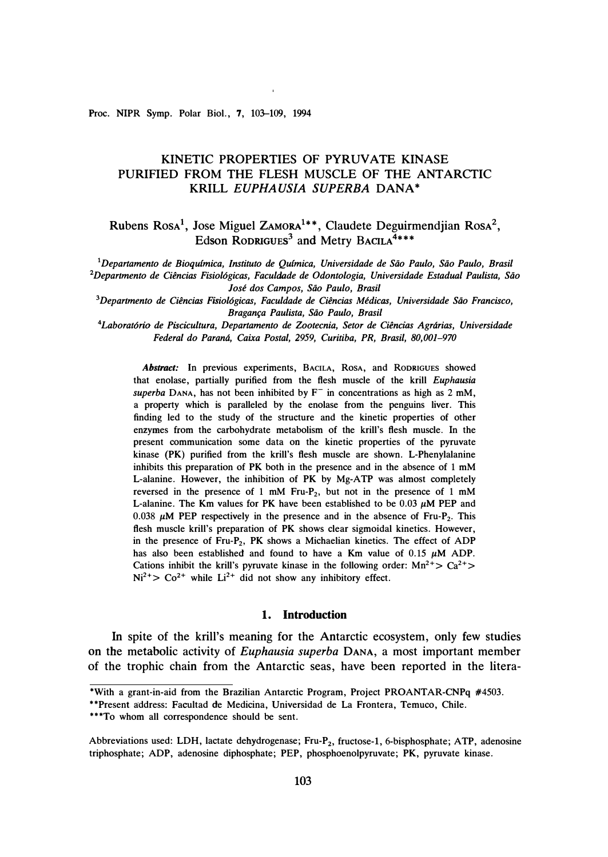**Proc. NIPR Symp. Polar Biol., 7, 103-109, 1994** 

# **KINETIC PROPERTIES OF PYRUVATE KINASE PURIFIED FROM THE FLESH MUSCLE OF THE ANTARCTIC KRILL** *EUPHAUSIA SUPERBA* **DANA\***

**Rubens RosA** 1, **Jose Miguel ZAMORA 1\* \*, Claudete Deguirmendjian RosA** 2, **Edson RoDRIGUEs<sup>3</sup>and Metry BACILA <sup>4</sup> \* \* \*** 

<sup>1</sup>Departamento de Bioquímica, Instituto de Ouímica, Universidade de São Paulo, São Paulo, Brasil <sup>2</sup>Departmento de Ciências Fisiológicas, Faculdade de Odontologia, Universidade Estadual Paulista, São *Jose dos Campos, Siio Paulo, Brasil* 

<sup>3</sup>Departmento de Ciências Fisiológicas, Faculdade de Ciências Médicas, Universidade São Francisco, *Braganfa Paulista, Siio Paulo, Brasil* 

*<sup>4</sup>Laborat6rio de Piscicultura, Departamento de Zootecnia, Setor de Ciencias Agrarias, Universidade Federal do Parana, Caixa Postal, 2959, Curitiba, PR, Brasil, 80,001-970* 

*Abstract:* **In previous experiments, BACILA, RosA, and RODRIGUES showed that enolase, partially purified from the flesh muscle of the krill** *Euphausia*   $superba$  DANA, has not been inhibited by  $F^-$  in concentrations as high as 2 mM, **a property which is paralleled by the enolase from the penguins liver. This finding led to the . study of the structure and the kinetic properties of other enzymes from the carbohydrate metabolism of the krill's flesh muscle. In the present communication some data on the kinetic properties of the pyruvate kinase (PK) purified from the krill's flesh muscle are shown. L-Phenylalanine inhibits this preparation of PK both in the presence and in the absence of 1 mM L-alanine. However, the inhibition of PK by Mg-ATP was almost completely reversed in the presence of 1 mM Fru-P2, but not in the presence of 1 mM L-alanine. The Km values for PK have been established to be 0.03**  $\mu$ **M PEP and** 0.038  $\mu$ **M** PEP respectively in the presence and in the absence of Fru-P<sub>2</sub>. This **flesh muscle krill's preparation of PK shows clear sigmoidal kinetics. However, in the presence of Fru-P2, PK shows a Michaelian kinetics. The effect of ADP**  has also been established and found to have a Km value of  $0.15 \mu M$  ADP. Cations inhibit the krill's pyruvate kinase in the following order:  $Mn^{2+}$   $\geq$   $Ca^{2+}$  $Ni^{2+} > Co^{2+}$  while  $Li^{2+}$  did not show any inhibitory effect.

### **1. Introduction**

**In spite of the krill's meaning for the Antarctic ecosystem, only few studies on the metabolic activity of** *Euphausia superba* **DANA, a most important member of the trophic chain from the Antarctic seas, have been reported in the litera-**

**<sup>\*</sup>With a grant-in-aid from the Brazilian Antarctic Program, Project PROANTAR-CNPq #4503.** 

**<sup>\*\*</sup>Present address: Facultad de Medicina, Universidad de La Frontera, Temuco, Chile.** 

**<sup>\*\*\*</sup>To whom all correspondence should be sent.** 

**Abbreviations used: LDH, lactate dehydrogenase; Fru-P2, fructose-!, 6-bisphosphate; ATP, adenosine triphosphate; ADP, adenosine diphosphate; PEP, phosphoenolpyruvate; PK, pyruvate kinase.**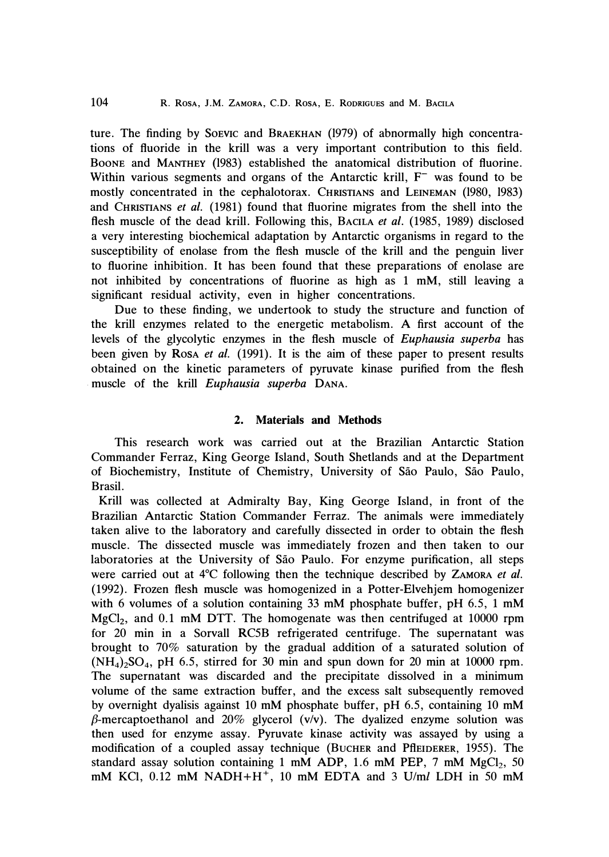**ture. The finding by SoEVIC and BRAEKHAN (1979) of abnormally high concentrations of fluoride in the krill was a very important contribution to this field. BooNE and MANTHEY (1983) established the anatomical distribution of fluorine.**  Within various segments and organs of the Antarctic krill, F<sup>-</sup> was found to be **mostly concentrated in the cephalotorax. CHRISTIANS and LEINEMAN (1980, 1983) and CHRISTIANS** *et al.* **(1981) found that fluorine migrates from the shell into the flesh muscle of the dead krill. Following this, BACILA** *et al.* **(1985, 1989) disclosed a very interesting biochemical adaptation by Antarctic organisms in regard to the susceptibility of enolase from the flesh muscle of the krill and the penguin liver to fluorine inhibition. It has been found that these preparations of enolase are not inhibited by concentrations of fluorine as high as 1 mM, still leaving a significant residual activity, even in higher concentrations.** 

**Due to these finding, we undertook to study the structure and function of the krill enzymes related to the energetic metabolism. A first account of the levels of the glycolytic enzymes in the flesh muscle of** *Euphausia superba* **has been given by RosA** *et al.* **(1991). It is the aim of these paper to present results obtained on the kinetic parameters of pyruvate kinase purified from the flesh . muscle of the krill** *Euphausia superba* **DANA.** 

## **2. Materials and Methods**

**This research work was carried out at the Brazilian Antarctic Station Commander Ferraz, King George Island, South Shetlands and at the Department of Biochemistry, Institute of Chemistry, University of Sao Paulo, Sao Paulo, Brasil.** 

**Krill was collected at Admiralty Bay, King George Island, in front of the Brazilian Antarctic Station Commander Ferraz. The animals were immediately taken alive to the laboratory and carefully dissected in order to obtain the flesh muscle. The dissected muscle was immediately frozen and then taken to our**  laboratories at the University of São Paulo. For enzyme purification, all steps were carried out at <sup>4</sup>°C following then the technique described by ZAMORA *et al.* **(1992). Frozen flesh muscle was homogenized in a Potter-Elvehjem homogenizer with 6 volumes of a solution containing 33 mM phosphate buffer, pH 6.5, 1 mM MgC1**<sup>2</sup> **, and 0.1 mM DTI. The homogenate was then centrifuged at 10000 rpm for 20 min in a Sorvall RC5B refrigerated centrifuge. The supernatant was brought to 70% saturation by the gradual addition of a saturated solution of**   $(NH_4)$ <sub>2</sub> $SO_4$ , pH 6.5, stirred for 30 min and spun down for 20 min at 10000 rpm. **The supernatant was discarded and the precipitate dissolved in a minimum volume of the same extraction buffer, and the excess salt subsequently removed by overnight dyalisis against 10 mM phosphate buffer, pH 6.5, containing 10 mM /3-mercaptoethanol and 20% glycerol (v/v). The dyalized enzyme solution was then used for enzyme assay. Pyruvate kinase activity was assayed by using a modification of a coupled assay technique (BUCHER and PflEIDERER, 1955). The standard assay solution containing 1 mM ADP, 1.6 mM PEP, 7 mM MgCI**<sup>2</sup> **, 50**  mM KCI,  $0.12$  mM NADH+H<sup>+</sup>, 10 mM EDTA and 3 U/ml LDH in 50 mM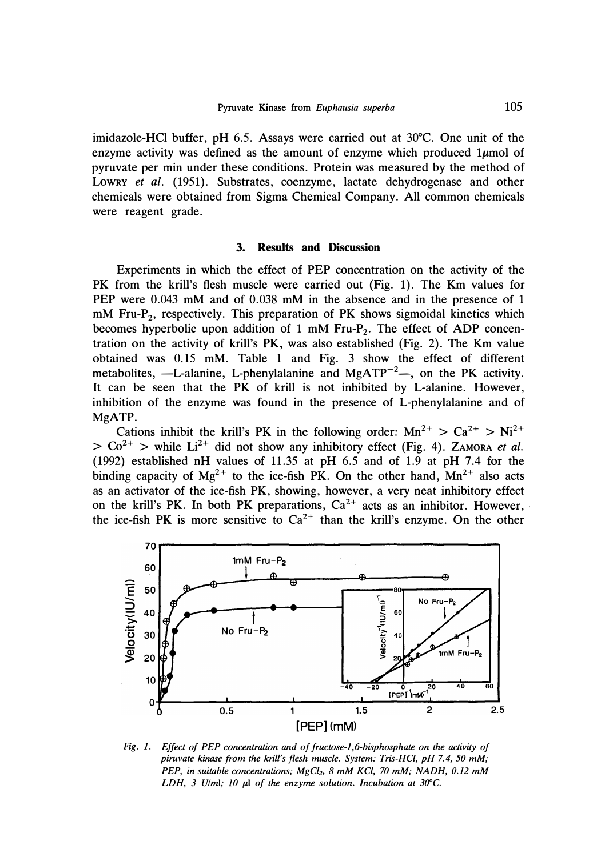**imidazole-HCl buffer, pH 6.5. Assays were carried out at 30**°**C. One unit of the**  enzyme activity was defined as the amount of enzyme which produced  $1\mu$ mol of **pyruvate per min under these conditions. Protein was measured by the method of LOWRY** *et al.* **(1951). Substrates, coenzyme, lactate dehydrogenase and other chemicals were obtained from Sigma Chemical Company. All common chemicals were reagent grade.** 

### **3. Results and Discussion**

**Experiments in which the effect of PEP concentration on the activity of the PK from the krill's flesh muscle were carried out (Fig. 1). The Km values for PEP were 0.043 mM and of 0.038 mM in the absence and in the presence of 1 mM Fru-P<sup>2</sup> , respectively. This preparation of PK shows sigmoidal kinetics which becomes hyperbolic upon addition of 1 mM Fru-P<sup>2</sup> • The effect of ADP concentration on the activity of krill's PK, was also established (Fig. 2). The Km value obtained was 0.15 mM. Table 1 and Fig. 3 show the effect of different**  metabolites, —L-alanine, L-phenylalanine and MgATP<sup>-2</sup>—, on the PK activity. **It can be seen that the PK of krill is not inhibited by L-alanine. However, inhibition of the enzyme was found in the presence of L-phenylalanine and of MgATP.** 

Cations inhibit the krill's PK in the following order:  $Mn^{2+} > Ca^{2+} > Ni^{2+}$  $> Co^{2+}$  > while Li<sup>2+</sup> did not show any inhibitory effect (Fig. 4). ZAMORA *et al.* **(1992) established nH values of 11.35 at pH 6.5 and of 1.9 at pH 7.4 for the**  binding capacity of  $Mg^{2+}$  to the ice-fish PK. On the other hand,  $Mn^{2+}$  also acts **as an activator of the ice-fish PK, showing, however, a very neat inhibitory effect**  on the krill's PK. In both PK preparations,  $Ca^{2+}$  acts as an inhibitor. However, the ice-fish PK is more sensitive to  $Ca^{2+}$  than the krill's enzyme. On the other



*Fig. 1. Effect of PEP concentration and of fructose-1,6-bisphosphate on the activity of piruvate kinase from the krill's flesh muscle. System: Tris-HCI, pH 7.4, 50 mM; PEP, in suitable concentrations; MgC/21 8 mM KC/, 70 mM; NADH, 0.12 mM LDH, 3 Ulml; 10 µl of the enzyme solution. Incubation at 30°C.*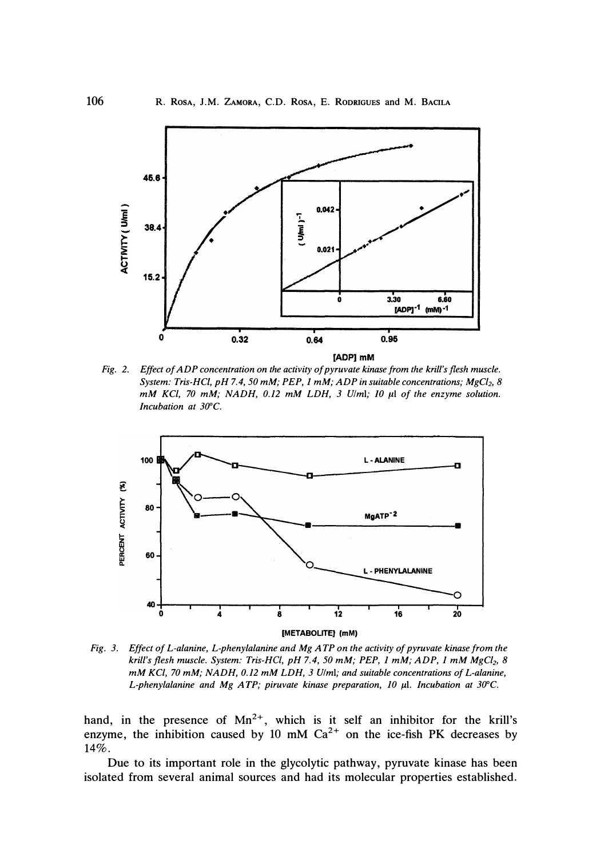

*Fig. 2. Effect of ADP concentration on the activity of pyruvate kinase from the krill's flesh muscle. System: Tris-HCl, pH 7.4, 50 mM; PEP, 1 mM; ADP in suitable concentrations; MgC/2, 8 mM KC/, 70 mM; NADH, 0.12 mM LDH, 3 U/ml; JO* **µl** *of the enzyme solution.*  Incubation at 30°C.



*Fig. 3. Effect of L-alanine, L-phenylalanine and Mg ATP on the activity of pyruvate kinase from the krill's flesh muscle. System: Tris-HCI, pH 7.4, 50 mM; PEP, 1 mM; ADP, 1 mM MgC/2, 8 mM KC/, 70 mM; NADH, 0.12 mM LDH, 3 Ulml; and suitable concentrations of L-alanine,*  L-phenylalanine and Mg ATP; piruvate kinase preparation, 10 µl. Incubation at 30°C.

*hand, in the presence of Mn***<sup>2</sup>**<sup>+</sup> , *which is it self an inhibitor for the krill's enzyme, the inhibition caused by 10 mM Ca***<sup>2</sup>**<sup>+</sup>*on the ice-fish PK decreases by 14%.* 

*Due to its important role in the glycolytic pathway, pyruvate kinase has been isolated from several animal sources and had its molecular properties established.*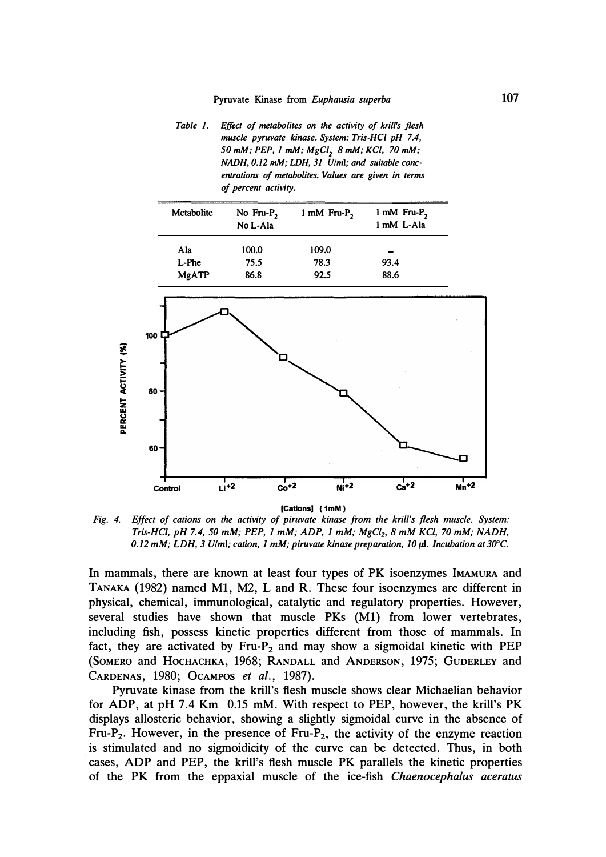*Table 1. Effect of metabolites on the activity of krill's flesh muscle pyruvate kinase. System: Tris-HCI pH 7.4, 50 mM; PEP, 1 mM,· MgC/2 8 mM; KC/, 70 mM; NADH, 0.12 mM; LDH, 31 U/ml; and suitable concentrations of metabolites. Values are given in terms of percent activity.* 

| Metabolite   | No Fru- $P_2$<br>No L-Ala | 1 mM Fru- $P_2$ | 1 mM Fru- $P_2$<br>1 mM L-Ala |
|--------------|---------------------------|-----------------|-------------------------------|
| Ala          | 100.0                     | 109.0           |                               |
| L-Phe        | 75.5                      | 78.3            | 93.4                          |
| <b>MgATP</b> | 86.8                      | 92.5            | 88.6                          |



*Fig. 4. Effect of cations on the activity of piruvate kinase from the krill's flesh muscle. System: Tris-HCI, pH 7.4, 50 mM; PEP, 1 mM; ADP, 1 mM; MgC/2, 8 mM KC/, 70 mM; NADH, 0.12 mM; LDH, 3 Ulml; cation, 1 mM; piruvate kinase preparation, 10 µl. Incubation at 3U'C.* 

**In mammals, there are known at least four types of PK isoenzymes IMAMURA and TANAKA (1982) named Ml, M2, L and R. These four isoenzymes are different in physical, chemical, immunological, catalytic and regulatory properties. However, several studies have shown that muscle PKs (Ml) from lower vertebrates, including fish, possess kinetic properties different from those of mammals. In fact, they are activated by Fru-P2 and may show a sigmoidal kinetic with PEP (SOMERO and HocHACHKA, 1968; RANDALL and ANDERSON, 1975; GUDERLEY and CARDENAS, 1980; OcAMPOS** *et al. ,* **1987).** 

**Pyruvate kinase from the krill's flesh muscle shows clear Michaelian behavior for ADP, at pH 7.4 Km 0.15 mM. With respect to PEP, however, the krill's PK displays allosteric behavior, showing a slightly sigmoidal curve in the absence of**  Fru-P<sub>2</sub>. However, in the presence of Fru-P<sub>2</sub>, the activity of the enzyme reaction **. is stimulated and no sigmoidicity of the curve can be detected. Thus, in both cases, ADP and PEP, the krill's flesh muscle PK parallels the kinetic properties of the PK from the eppaxial muscle of the ice-fish** *Chaenocephalus aceratus*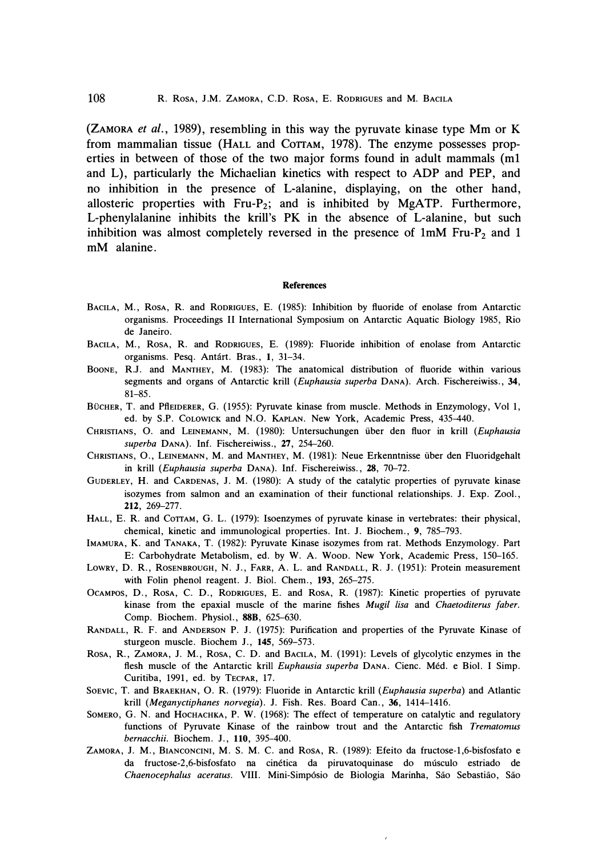*(ZAMORA et al., 1989), resembling in this way the pyruvate kinase type Mm or K from mammalian tissue (HALL and CoTIAM, 1978). The enzyme possesses properties in between of those of the two major forms found in adult mammals (ml*  and L), particularly the Michaelian kinetics with respect to ADP and PEP, and *no inhibition in the presence of L-alanine, displaying, on the other hand, allosteric properties with Fru-P***2;** *and is inhibited by MgATP. Furthermore,*  L-phenylalanine inhibits the krill's PK in the absence of L-alanine, but such *inhibition was almost completely reversed in the presence of lmM Fru-P***2** *and 1 mM alanine.* 

#### **References**

- BACILA, M., Rosa, R. and RODRIGUES, E. (1985): Inhibition by fluoride of enolase from Antarctic **organisms. Proceedings II International Symposium on Antarctic Aquatic Biology 1985, Rio de Janeiro.**
- **BACILA, M., ROSA, R. and RODRIGUES, E. (1989): Fluoride inhibition of enolase from Antarctic organisms. Pesq. Antart. Bras.,** *1,* **31-34.**
- **BOONE, R.J. and MANTHEY, M. (1983): The. anatomical distribution of fluoride within various segments and organs of Antarctic krill** *(Euphausia superba* **DANA). Arch. Fischereiwiss.,** *34,*  **81-85.**
- BÜCHER, T. and PflEIDERER, G. (1955): Pyruvate kinase from muscle. Methods in Enzymology, Vol 1, **ed. by S.P. CoLOWICK and N.O. KAPLAN. New York, Academic Press, 435-440.**
- **CHRISTIANS, 0. and LEINEMANN, M. (1980): Untersuchungen iiber den fluor in krill** *(Euphausia superba* **DANA). Inf. Fischereiwiss.,** *27,* **254-260.**
- **CHRISTIANS, 0., LEINEMANN, M. and MANTHEY, M. (1981): Neue Erkenntnisse iiber den Fluoridgehalt in krill** *(Euphausia superba* **DANA). Inf. Fischereiwiss.,** *28,* **70-72.**
- **GuDERLEY, H. and CARDENAS, J. M. (1980): A study of the catalytic properties of pyruvate kinase isozymes from salmon and an examination of their functional relationships. J. Exp. Zool.,**  *212,* **269-277.**
- HALL, E. R. and COTTAM, G. L. (1979): Isoenzymes of pyruvate kinase in vertebrates: their physical, **chemical, kinetic and immunological properties. Int. J. Biochem., 9, 785-793.**
- **IMAMURA, K. and TANAKA, T. (1982): Pyruvate Kinase isozymes from rat. Methods Enzymology. Part E: Carbohydrate Metabolism, ed. by W. A. Woon. New York, Academic Press, 150-165.**
- **LOWRY, D. R., ROSENBROUGH, N. J., FARR, A. L. and RANDALL, R. J. (1951): Protein measurement with Folin phenol reagent. J. Biol. Chem., 193, 265-275.**
- **OcAMPOS, D., RosA, C. D., RODRIGUES, E. and RosA, R. (1987): Kinetic properties of pyruvate kinase from the epaxial muscle of the marine fishes** *Mugil Lisa* **and** *Chaetoditerus Jaber.*  **Comp. Biochem. Physiol.,** *88B,* **625-630.**
- **RANDALL, R. F. and ANDERSON P. J. (1975): Purification and properties of the Pyruvate Kinase of sturgeon muscle. Biochem J.,** *145,* **569-573.**
- **ROSA, R., ZAMORA, J. M., ROSA, C. D. and BACILA, M. (1991): Levels of glycolytic enzymes in the flesh muscle of the Antarctic krill** *Euphausia superba* **DANA. Cienc. Med. e Biol. I Simp. Curitiba, 1991, ed. by TECPAR, 17.**
- **SoEVIC, T. and BRAEKHAN, 0. R. (1979): Fluoride in Antarctic krill** *(Euphausia superba)* **and Atlantic krill** *(Meganyctiphanes norvegia).* **J. Fish. Res. Board Can., 36, 1414-1416.**
- SOMERO, G. N. and HOCHACHKA, P. W. (1968): The effect of temperature on catalytic and regulatory **functions of Pyruvate Kinase of the rainbow trout and the Antarctic fish** *Trematomus bernacchii.* **Biochem. J.,** *110,* **395-400.**
- **ZAMORA, J. M., BIANCONCINI, M. S. M. C. and RosA, R. (1989): Efeito da fructose-1,6-bisfosfato e da fructose-2,6-bisfosfato na cinetica da piruvatoquinase do musculo estriado de**  *Chaenocephalus aceratus.* VIII. Mini-Simpósio de Biologia Marinha, São Sebastião, São